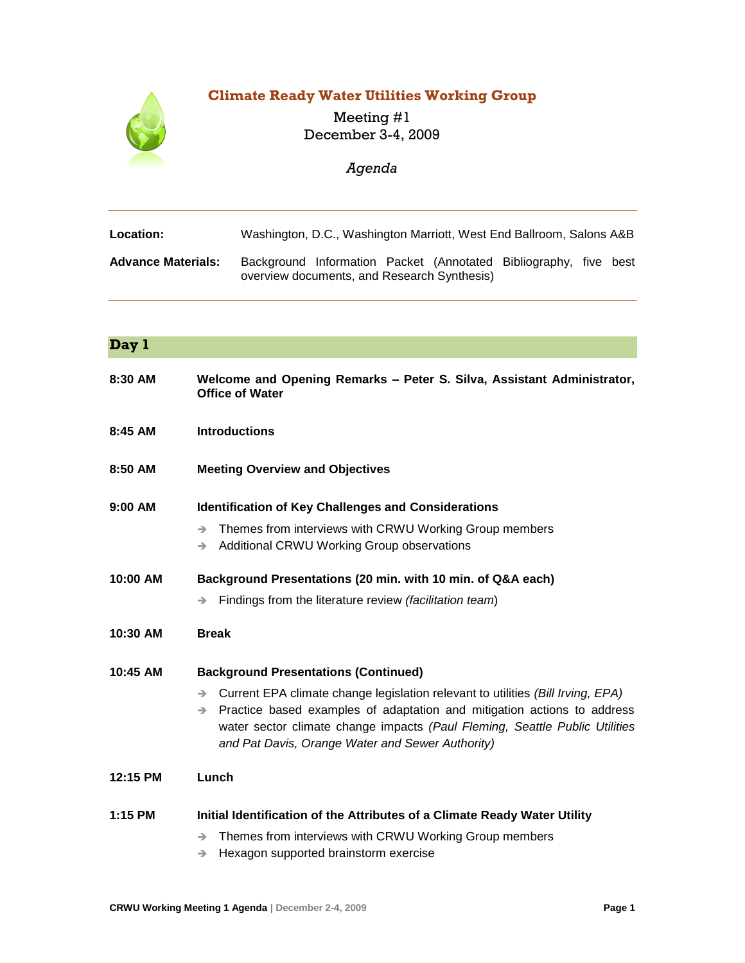# **Climate Ready Water Utilities Working Group**



## Meeting #1 December 3-4, 2009

## *Agenda*

| <b>Location:</b>          |                                             |  | Washington, D.C., Washington Marriott, West End Ballroom, Salons A&B |  |
|---------------------------|---------------------------------------------|--|----------------------------------------------------------------------|--|
| <b>Advance Materials:</b> | overview documents, and Research Synthesis) |  | Background Information Packet (Annotated Bibliography, five best     |  |

| Day 1      |                                                                                                                                                                                                                                                                                                                     |  |  |  |  |
|------------|---------------------------------------------------------------------------------------------------------------------------------------------------------------------------------------------------------------------------------------------------------------------------------------------------------------------|--|--|--|--|
| 8:30 AM    | Welcome and Opening Remarks - Peter S. Silva, Assistant Administrator,<br><b>Office of Water</b>                                                                                                                                                                                                                    |  |  |  |  |
| 8:45 AM    | <b>Introductions</b>                                                                                                                                                                                                                                                                                                |  |  |  |  |
| 8:50 AM    | <b>Meeting Overview and Objectives</b>                                                                                                                                                                                                                                                                              |  |  |  |  |
| 9:00 AM    | <b>Identification of Key Challenges and Considerations</b>                                                                                                                                                                                                                                                          |  |  |  |  |
|            | Themes from interviews with CRWU Working Group members<br>$\rightarrow$<br>Additional CRWU Working Group observations<br>$\rightarrow$                                                                                                                                                                              |  |  |  |  |
| 10:00 AM   | Background Presentations (20 min. with 10 min. of Q&A each)                                                                                                                                                                                                                                                         |  |  |  |  |
|            | Findings from the literature review (facilitation team)<br>→                                                                                                                                                                                                                                                        |  |  |  |  |
| 10:30 AM   | <b>Break</b>                                                                                                                                                                                                                                                                                                        |  |  |  |  |
| $10:45$ AM | <b>Background Presentations (Continued)</b>                                                                                                                                                                                                                                                                         |  |  |  |  |
|            | Current EPA climate change legislation relevant to utilities (Bill Irving, EPA)<br>$\rightarrow$<br>Practice based examples of adaptation and mitigation actions to address<br>→<br>water sector climate change impacts (Paul Fleming, Seattle Public Utilities<br>and Pat Davis, Orange Water and Sewer Authority) |  |  |  |  |
| 12:15 PM   | Lunch                                                                                                                                                                                                                                                                                                               |  |  |  |  |
| $1:15$ PM  | Initial Identification of the Attributes of a Climate Ready Water Utility                                                                                                                                                                                                                                           |  |  |  |  |
|            | Themes from interviews with CRWU Working Group members<br>→<br>Hexagon supported brainstorm exercise<br>→                                                                                                                                                                                                           |  |  |  |  |